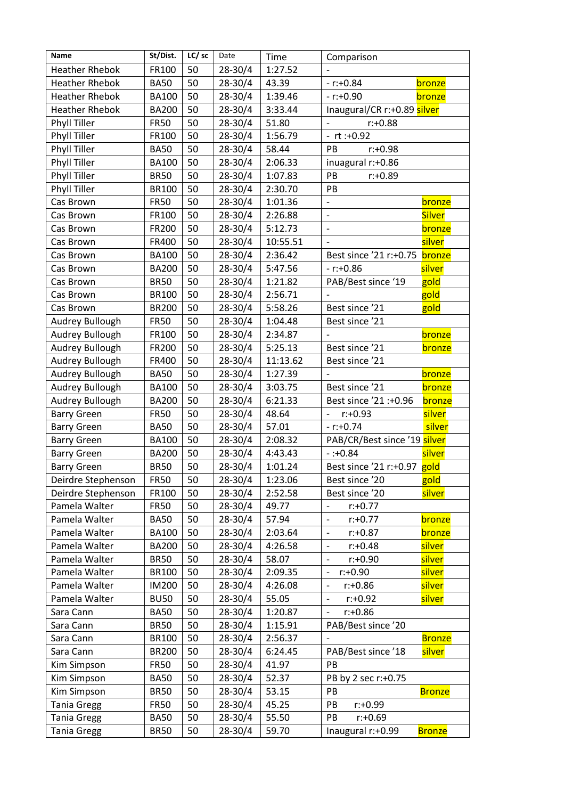| Name                  | St/Dist.     | LC/ sc | Date        | Time     | Comparison                                 |               |
|-----------------------|--------------|--------|-------------|----------|--------------------------------------------|---------------|
| <b>Heather Rhebok</b> | FR100        | 50     | 28-30/4     | 1:27.52  |                                            |               |
| <b>Heather Rhebok</b> | <b>BA50</b>  | 50     | 28-30/4     | 43.39    | $- r$ : +0.84                              | bronze        |
| <b>Heather Rhebok</b> | <b>BA100</b> | 50     | $28 - 30/4$ | 1:39.46  | $- r$ : $+0.90$                            | bronze        |
| <b>Heather Rhebok</b> | <b>BA200</b> | 50     | 28-30/4     | 3:33.44  | Inaugural/CR r:+0.89 silver                |               |
| <b>Phyll Tiller</b>   | <b>FR50</b>  | 50     | 28-30/4     | 51.80    | $r: +0.88$                                 |               |
| Phyll Tiller          | FR100        | 50     | 28-30/4     | 1:56.79  | $-$ rt :+0.92                              |               |
| Phyll Tiller          | <b>BA50</b>  | 50     | 28-30/4     | 58.44    | PB<br>$r: +0.98$                           |               |
| <b>Phyll Tiller</b>   | <b>BA100</b> | 50     | 28-30/4     | 2:06.33  | inuagural r:+0.86                          |               |
| Phyll Tiller          | <b>BR50</b>  | 50     | 28-30/4     | 1:07.83  | PB<br>$r: +0.89$                           |               |
| Phyll Tiller          | <b>BR100</b> | 50     | 28-30/4     | 2:30.70  | PB                                         |               |
| Cas Brown             | <b>FR50</b>  | 50     | 28-30/4     | 1:01.36  |                                            | bronze        |
| Cas Brown             | FR100        | 50     | 28-30/4     | 2:26.88  | $\overline{\phantom{0}}$                   | <b>Silver</b> |
| Cas Brown             | FR200        | 50     | 28-30/4     | 5:12.73  | $\overline{\phantom{a}}$                   | bronze        |
| Cas Brown             | FR400        | 50     | 28-30/4     | 10:55.51 |                                            | silver        |
| Cas Brown             | <b>BA100</b> | 50     | 28-30/4     | 2:36.42  | Best since '21 r:+0.75 bronze              |               |
| Cas Brown             | <b>BA200</b> | 50     | 28-30/4     | 5:47.56  | $- r: +0.86$                               | silver        |
| Cas Brown             | <b>BR50</b>  | 50     | 28-30/4     | 1:21.82  | PAB/Best since '19                         | gold          |
| Cas Brown             | <b>BR100</b> | 50     | 28-30/4     | 2:56.71  |                                            | gold          |
| Cas Brown             | <b>BR200</b> | 50     | 28-30/4     | 5:58.26  | Best since '21                             | gold          |
| Audrey Bullough       | <b>FR50</b>  | 50     | 28-30/4     | 1:04.48  | Best since '21                             |               |
| Audrey Bullough       | FR100        | 50     | 28-30/4     | 2:34.87  |                                            | bronze        |
| Audrey Bullough       | FR200        | 50     | 28-30/4     | 5:25.13  | Best since '21                             | bronze        |
| Audrey Bullough       | FR400        | 50     | 28-30/4     | 11:13.62 | Best since '21                             |               |
| Audrey Bullough       | <b>BA50</b>  | 50     | 28-30/4     | 1:27.39  |                                            | <b>bronze</b> |
| Audrey Bullough       | <b>BA100</b> | 50     | 28-30/4     | 3:03.75  | Best since '21                             | bronze        |
| Audrey Bullough       | <b>BA200</b> | 50     | 28-30/4     | 6:21.33  | Best since '21 :+0.96                      | bronze        |
| <b>Barry Green</b>    | <b>FR50</b>  | 50     | 28-30/4     | 48.64    | $r: +0.93$                                 | silver        |
| <b>Barry Green</b>    | <b>BA50</b>  | 50     | 28-30/4     | 57.01    | $- r: +0.74$                               | silver        |
| <b>Barry Green</b>    | <b>BA100</b> | 50     | 28-30/4     | 2:08.32  | PAB/CR/Best since '19 silver               |               |
| <b>Barry Green</b>    | <b>BA200</b> | 50     | 28-30/4     | 4:43.43  | $-: +0.84$                                 | silver        |
| <b>Barry Green</b>    | <b>BR50</b>  | 50     | 28-30/4     | 1:01.24  | Best since '21 r:+0.97 gold                |               |
| Deirdre Stephenson    | <b>FR50</b>  | 50     | 28-30/4     | 1:23.06  | Best since '20                             | gold          |
| Deirdre Stephenson    | FR100        | 50     | 28-30/4     | 2:52.58  | Best since '20                             | silver        |
| Pamela Walter         | <b>FR50</b>  | 50     | 28-30/4     | 49.77    | $r: +0.77$<br>-                            |               |
| Pamela Walter         | <b>BA50</b>  | 50     | 28-30/4     | 57.94    | $r: +0.77$<br>$\qquad \qquad -$            | bronze        |
| Pamela Walter         | <b>BA100</b> | 50     | 28-30/4     | 2:03.64  | $\overline{\phantom{a}}$<br>$r: +0.87$     | bronze        |
| Pamela Walter         | <b>BA200</b> | 50     | 28-30/4     | 4:26.58  | $r: +0.48$<br>$\qquad \qquad \blacksquare$ | silver        |
| Pamela Walter         | <b>BR50</b>  | 50     | 28-30/4     | 58.07    | $r: +0.90$<br>$\overline{\phantom{a}}$     | silver        |
| Pamela Walter         | <b>BR100</b> | 50     | 28-30/4     | 2:09.35  | $r: +0.90$<br>$\qquad \qquad -$            | silver        |
| Pamela Walter         | <b>IM200</b> | 50     | 28-30/4     | 4:26.08  | $r: +0.86$<br>$\qquad \qquad -$            | silver        |
| Pamela Walter         | <b>BU50</b>  | 50     | 28-30/4     | 55.05    | $r: +0.92$<br>$\overline{\phantom{a}}$     | silver        |
| Sara Cann             | <b>BA50</b>  | 50     | 28-30/4     | 1:20.87  | $r: +0.86$                                 |               |
| Sara Cann             | <b>BR50</b>  | 50     | 28-30/4     | 1:15.91  | PAB/Best since '20                         |               |
| Sara Cann             | <b>BR100</b> | 50     | 28-30/4     | 2:56.37  | $\overline{\phantom{a}}$                   | <b>Bronze</b> |
| Sara Cann             | <b>BR200</b> | 50     | 28-30/4     | 6:24.45  | PAB/Best since '18                         | silver        |
| Kim Simpson           | <b>FR50</b>  | 50     | 28-30/4     | 41.97    | PB                                         |               |
| Kim Simpson           | <b>BA50</b>  | 50     | 28-30/4     | 52.37    | PB by 2 sec r:+0.75                        |               |
| Kim Simpson           | <b>BR50</b>  | 50     | 28-30/4     | 53.15    | PB                                         | <b>Bronze</b> |
| <b>Tania Gregg</b>    | <b>FR50</b>  | 50     | 28-30/4     | 45.25    | PB<br>$r: +0.99$                           |               |
| <b>Tania Gregg</b>    | <b>BA50</b>  | 50     | 28-30/4     | 55.50    | PB<br>$r: +0.69$                           |               |
| <b>Tania Gregg</b>    | <b>BR50</b>  | 50     | 28-30/4     | 59.70    | Inaugural r:+0.99                          | <b>Bronze</b> |